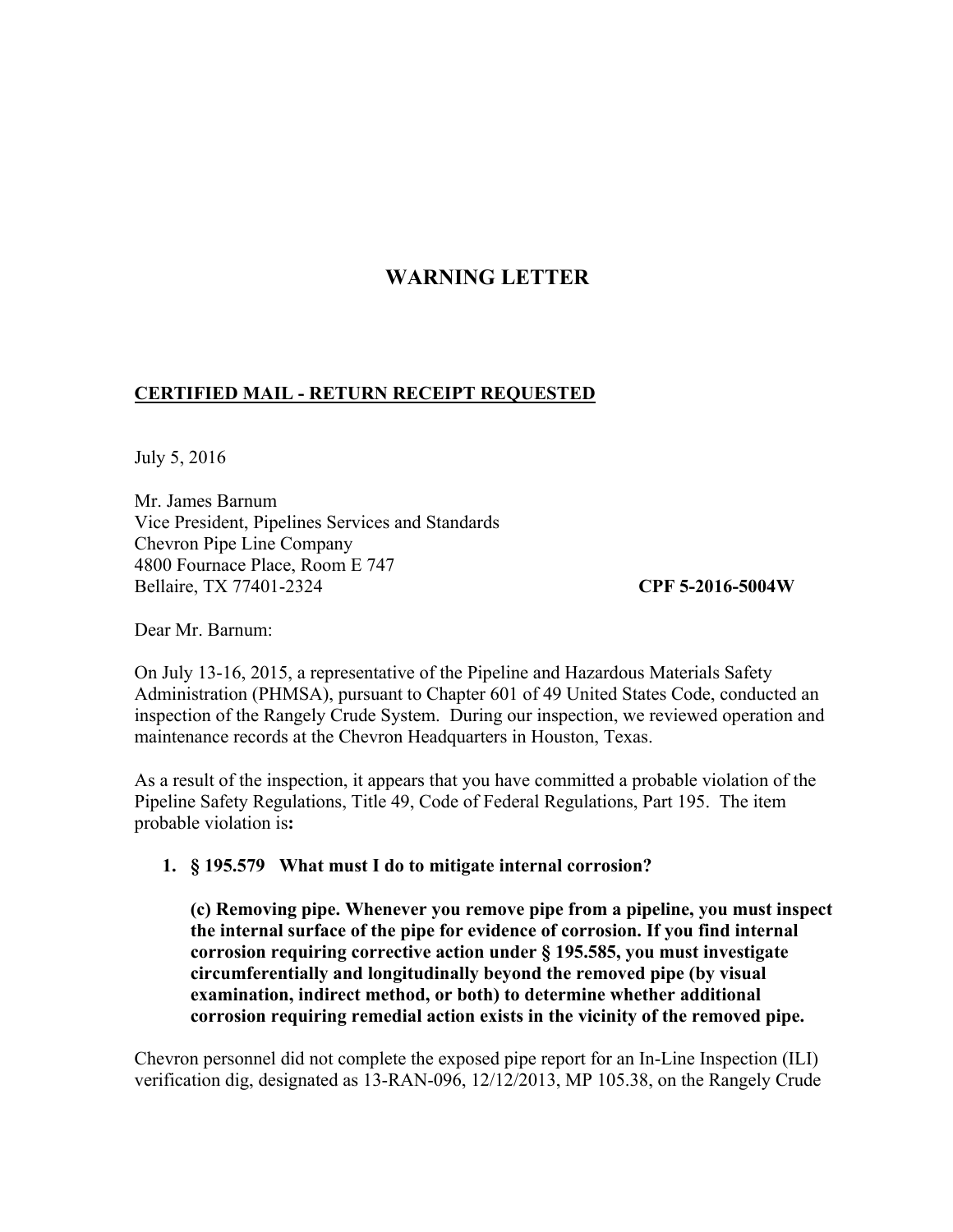## **WARNING LETTER**

## **CERTIFIED MAIL - RETURN RECEIPT REQUESTED**

July 5, 2016

Mr. James Barnum Vice President, Pipelines Services and Standards Chevron Pipe Line Company 4800 Fournace Place, Room E 747 Bellaire, TX 77401-2324 **CPF 5-2016-5004W** 

Dear Mr. Barnum:

On July 13-16, 2015, a representative of the Pipeline and Hazardous Materials Safety Administration (PHMSA), pursuant to Chapter 601 of 49 United States Code, conducted an inspection of the Rangely Crude System. During our inspection, we reviewed operation and maintenance records at the Chevron Headquarters in Houston, Texas.

As a result of the inspection, it appears that you have committed a probable violation of the Pipeline Safety Regulations, Title 49, Code of Federal Regulations, Part 195. The item probable violation is**:** 

**1. § 195.579 What must I do to mitigate internal corrosion?** 

**(c) Removing pipe. Whenever you remove pipe from a pipeline, you must inspect the internal surface of the pipe for evidence of corrosion. If you find internal corrosion requiring corrective action under § 195.585, you must investigate circumferentially and longitudinally beyond the removed pipe (by visual examination, indirect method, or both) to determine whether additional corrosion requiring remedial action exists in the vicinity of the removed pipe.** 

Chevron personnel did not complete the exposed pipe report for an In-Line Inspection (ILI) verification dig, designated as 13-RAN-096, 12/12/2013, MP 105.38, on the Rangely Crude